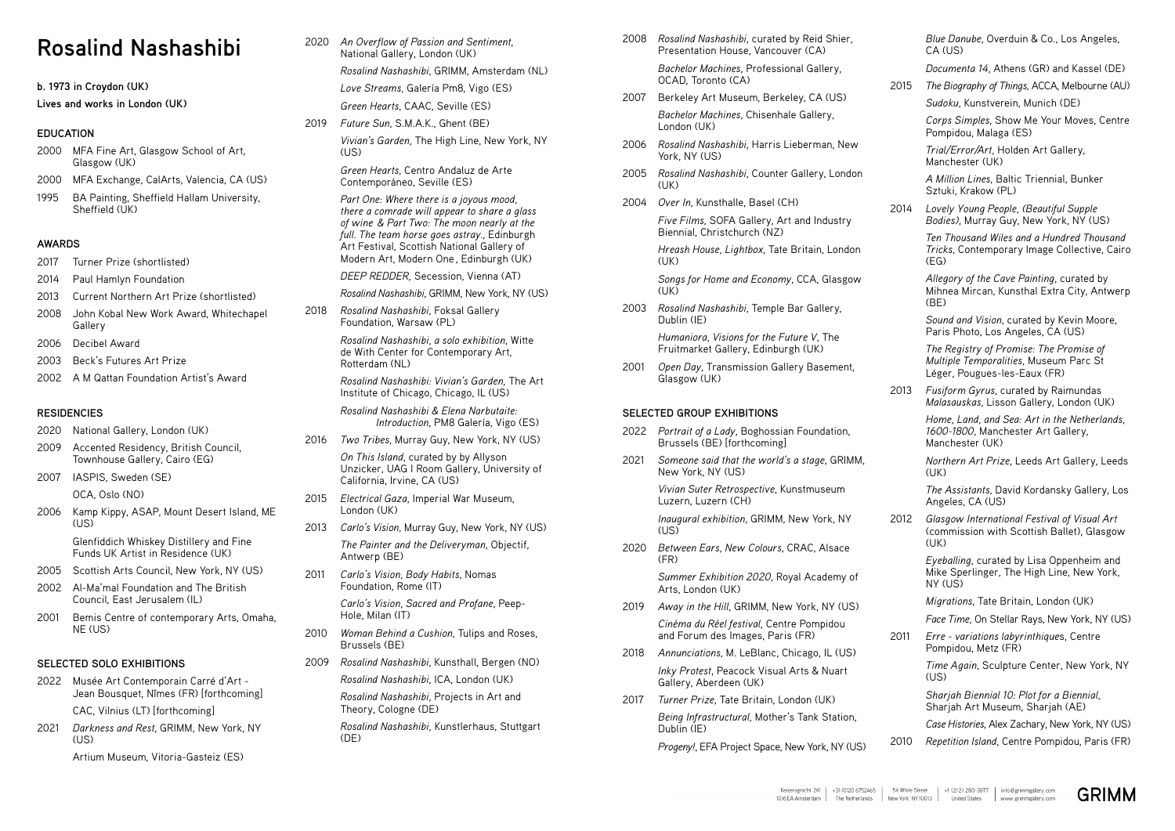# **Rosalind Nashashibi**

**b. 1973 in Croydon (UK)**

**Lives and works in London (UK)**

## **EDUCATION**

- 2000 MFA Fine Art, Glasgow School of Art, Glasgow (UK)
- 2000 MFA Exchange, CalArts, Valencia, CA (US)
- 1995 BA Painting, Sheffield Hallam University, Sheffield (UK)

## **AWARDS**

- 2017 Turner Prize (shortlisted)
- 2014 Paul Hamlyn Foundation
- 2013 Current Northern Art Prize (shortlisted)
- 2008 John Kobal New Work Award, Whitechapel Gallery
- 2006 Decibel Award
- 2003 Beck's Futures Art Prize
- 2002 A M Qattan Foundation Artist's Award

- 2022 Musée Art Contemporain Carré d'Art Jean Bousquet, Nîmes (FR) [forthcoming] CAC, Vilnius (LT) [forthcoming]
- 2021 *Darkness and Rest*, GRIMM, New York, NY  $(US)$

#### **RESIDENCIES**

- 2020 National Gallery, London (UK)
- 2009 Accented Residency, British Council, Townhouse Gallery, Cairo (EG)
- 2007 IASPIS, Sweden (SE)

OCA, Oslo (NO)

2019 *Future Sun*, S.M.A.K., Ghent (BE) *Vivian's Garden,* The High Line, New York, NY  $(US)$ 

2006 Kamp Kippy, ASAP, Mount Desert Island, ME (US)

> Glenfiddich Whiskey Distillery and Fine Funds UK Artist in Residence (UK)

- 2005 Scottish Arts Council, New York, NY (US)
- 2002 Al-Ma'mal Foundation and The British Council, East Jerusalem (IL)
- 2001 Bemis Centre of contemporary Arts, Omaha, NE (US)

## **SELECTED SOLO EXHIBITIONS**

Artium Museum, Vitoria-Gasteiz (ES)

2020 *An Overflow of Passion and Sentiment*, National Gallery, London (UK)

*Rosalind Nashashibi*, GRIMM, Amsterdam (NL)

*Love Streams,* Galería Pm8, Vigo (ES)

*Green Hearts*, CAAC, Seville (ES)

*Green Hearts*, Centro Andaluz de Arte Contemporáneo, Seville (ES)

*Part One: Where there is a joyous mood, there a comrade will appear to share a glass of wine & Part Two: The moon nearly at the full. The team horse goes astray.*, Edinburgh Art Festival, Scottish National Gallery of Modern Art, Modern One , Edinburgh (UK)

> *Songs for Home and Economy*, CCA, Glasgow  $(IIK)$

*DEEP REDDER,* Secession, Vienna (AT)

- *Rosalind Nashashibi*, GRIMM, New York, NY (US)
- 2018 *Rosalind Nashashibi*, Foksal Gallery Foundation, Warsaw (PL)

*Rosalind Nashashibi, a solo exhibition*, Witte de With Center for Contemporary Art, Rotterdam (NL)

*Rosalind Nashashibi: Vivian's Garden,* The Art Institute of Chicago, Chicago, IL (US)

> 2017 *Turner Prize*, Tate Britain, London (UK) *Being Infrastructural*, Mother's Tank Station, Dublin (IE)

*Rosalind Nashashibi & Elena Narbutaite: Introduction*, PM8 Galería, Vigo (ES) *Blue Danube*, Overduin & Co., Los Angeles,  $CA$   $(1)S$ 

2016 *Two Tribes*, Murray Guy, New York, NY (US)

*On This Island*, curated by by Allyson Unzicker, UAG I Room Gallery, University of California, Irvine, CA (US)

- 2015 *Electrical Gaza*, Imperial War Museum, London (UK)
- 2013 *Carlo's Vision*, Murray Guy, New York, NY (US) *The Painter and the Deliveryman*, Objectif, Antwerp (BE)
- 2011 *Carlo's Vision, Body Habits*, Nomas Foundation, Rome (IT)

*Carlo's Vision, Sacred and Profane*, Peep-Hole, Milan (IT)

- 2010 *Woman Behind a Cushion*, Tulips and Roses, Brussels (BE)
- 2009 *Rosalind Nashashibi*, Kunsthall, Bergen (NO)

*Rosalind Nashashibi*, ICA, London (UK)

*Rosalind Nashashibi*, Projects in Art and Theory, Cologne (DE)

*Rosalind Nashashibi,* Kunstlerhaus, Stuttgart (DE)

2008 *Rosalind Nashashibi*, curated by Reid Shier, Presentation House, Vancouver (CA)

> *Bachelor Machines*, Professional Gallery, OCAD, Toronto (CA)

- 2007 Berkeley Art Museum, Berkeley, CA (US) *Bachelor Machines*, Chisenhale Gallery, London (UK)
- 2006 *Rosalind Nashashibi*, Harris Lieberman, New York, NY (US)
- 2005 *Rosalind Nashashibi*, Counter Gallery, London (UK)
- 2004 *Over In*, Kunsthalle, Basel (CH)

*Five Films*, SOFA Gallery, Art and Industry Biennial, Christchurch (NZ)

*Hreash House, Lightbox*, Tate Britain, London (UK)

2003 *Rosalind Nashashibi*, Temple Bar Gallery, Dublin (IE)

*Humaniora, Visions for the Future V*, The Fruitmarket Gallery, Edinburgh (UK)

2001 *Open Day*, Transmission Gallery Basement, Glasgow (UK)

## **SELECTED GROUP EXHIBITIONS**

- 2022 *Portrait of a Lady*, Boghossian Foundation, Brussels (BE) [forthcoming]
- 2021 *Someone said that the world's a stage*, GRIMM, New York, NY (US)

*Vivian Suter Retrospective*, Kunstmuseum Luzern, Luzern (CH)

*Inaugural exhibition*, GRIMM, New York, NY (US)

2020 *Between Ears, New Colours*, CRAC, Alsace (FR)

> *Summer Exhibition 2020*, Royal Academy of Arts, London (UK)

2019 *Away in the Hill*, GRIMM, New York, NY (US)

*Cinéma du Réel festival,* Centre Pompidou and Forum des Images, Paris (FR)

2018 *Annunciations*, M. LeBlanc, Chicago, IL (US)

*Inky Protest*, Peacock Visual Arts & Nuart Gallery, Aberdeen (UK)

*Progeny!*, EFA Project Space, New York, NY (US)

*Documenta 14*, Athens (GR) and Kassel (DE)

2015 *The Biography of Things*, ACCA, Melbourne (AU)

*Sudoku*, Kunstverein, Munich (DE)

*Corps Simples*, Show Me Your Moves, Centre Pompidou, Malaga (ES)

*Trial/Error/Art,* Holden Art Gallery, Manchester (UK)

*A Million Lines*, Baltic Triennial, Bunker Sztuki, Krakow (PL)

2014 *Lovely Young People, (Beautiful Supple Bodies)*, Murray Guy, New York, NY (US)

> *Ten Thousand Wiles and a Hundred Thousand Tricks*, Contemporary Image Collective, Cairo (EG)

> *Allegory of the Cave Painting*, curated by Mihnea Mircan, Kunsthal Extra City, Antwerp (BE)

*Sound and Vision*, curated by Kevin Moore, Paris Photo, Los Angeles, CA (US)

*The Registry of Promise: The Promise of Multiple Temporalities,* Museum Parc St Léger, Pougues-les-Eaux (FR)

2013 *Fusiform Gyrus*, curated by Raimundas *Malasauskas*, Lisson Gallery, London (UK)

> *Home, Land, and Sea: Art in the Netherlands, 1600-1800*, Manchester Art Gallery, Manchester (UK)

*Northern Art Prize*, Leeds Art Gallery, Leeds (UK)

*The Assistants*, David Kordansky Gallery, Los Angeles, CA (US)

2012 *Glasgow International Festival of Visual Art* (commission with Scottish Ballet), Glasgow (UK)

> *Eyeballing*, curated by Lisa Oppenheim and Mike Sperlinger, The High Line, New York, NY (US)

*Migrations*, Tate Britain, London (UK)

*Face Time,* On Stellar Rays, New York, NY (US)

2011 *Erre - variations labyrinthique*s, Centre Pompidou, Metz (FR)

> *Time Again*, Sculpture Center, New York, NY (US)

*Sharjah Biennial 10: Plot for a Biennial,* Sharjah Art Museum, Sharjah (AE)

*Case Histories*, Alex Zachary, New York, NY (US)

2010 *Repetition Island,* Centre Pompidou, Paris (FR)

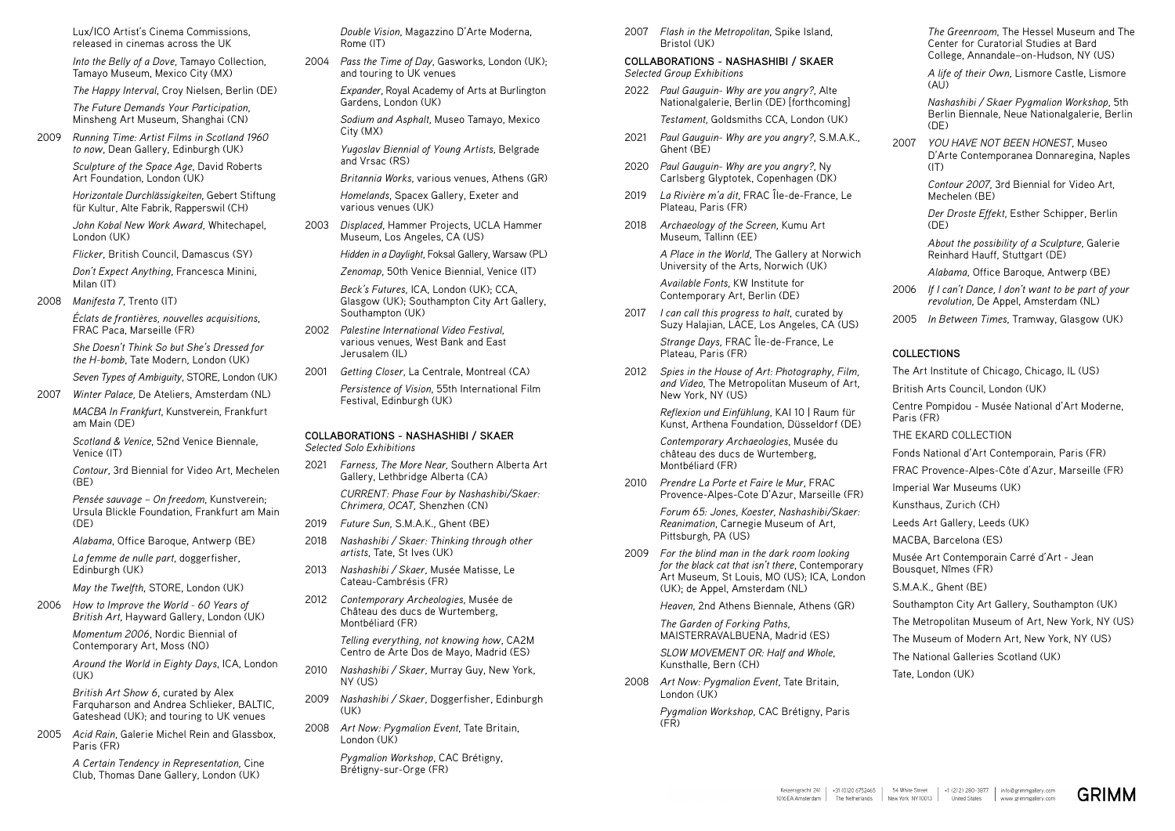Lux/ICO Artist's Cinema Commissions, released in cinemas across the UK

*Into the Belly of a Dove*, Tamayo Collection, Tamayo Museum, Mexico City (MX)

*The Happy Interval*, Croy Nielsen, Berlin (DE)

*The Future Demands Your Participation*, Minsheng Art Museum, Shanghai (CN)

2009 *Running Time: Artist Films in Scotland 1960 to now*, Dean Gallery, Edinburgh (UK)

> *Sculpture of the Space Age*, David Roberts Art Foundation, London (UK)

*Horizontale Durchlässigkeiten*, Gebert Stiftung für Kultur, Alte Fabrik, Rapperswil (CH)

*Contour*, 3rd Biennial for Video Art, Mechelen  $(BF)$ 

*John Kobal New Work Award*, Whitechapel, London (UK)

*Flicker*, British Council, Damascus (SY)

*Don't Expect Anything*, Francesca Minini, Milan (IT)

2008 *Manifesta 7*, Trento (IT)

*Éclats de frontières, nouvelles acquisitions*, FRAC Paca, Marseille (FR)

*She Doesn't Think So but She's Dressed for the H-bomb*, Tate Modern, London (UK)

*Seven Types of Ambiguity*, STORE, London (UK)

2007 *Winter Palace,* De Ateliers, Amsterdam (NL)

*MACBA In Frankfurt*, Kunstverein, Frankfurt am Main (DE)

*Scotland & Venice*, 52nd Venice Biennale, Venice (IT)

*Pensée sauvage – On freedom*, Kunstverein; Ursula Blickle Foundation, Frankfurt am Main (DE)

*Alabama*, Office Baroque, Antwerp (BE)

*La femme de nulle part*, doggerfisher, Edinburgh (UK)

*May the Twelfth*, STORE, London (UK)

2006 *How to Improve the World - 60 Years of British Art*, Hayward Gallery, London (UK)

> *Momentum 2006*, Nordic Biennial of Contemporary Art, Moss (NO)

*Around the World in Eighty Days*, ICA, London (UK)

*British Art Show 6*, curated by Alex Farquharson and Andrea Schlieker, BALTIC, Gateshead (UK); and touring to UK venues

2005 *Acid Rain*, Galerie Michel Rein and Glassbox, Paris (FR)

> *A Certain Tendency in Representation*, Cine Club, Thomas Dane Gallery, London (UK)

*Double Vision*, Magazzino D'Arte Moderna, Rome (IT)

2004 *Pass the Time of Day*, Gasworks, London (UK); and touring to UK venues

> *Expander*, Royal Academy of Arts at Burlington Gardens, London (UK)

*Sodium and Asphalt*, Museo Tamayo, Mexico City (MX)

*Yugoslav Biennial of Young Artists*, Belgrade and Vrsac (RS)

*Britannia Works*, various venues, Athens (GR)

*Homelands*, Spacex Gallery, Exeter and various venues (UK)

2003 *Displaced*, Hammer Projects, UCLA Hammer Museum, Los Angeles, CA (US)

*Hidden in a Daylight*, Foksal Gallery, Warsaw (PL)

*Zenomap*, 50th Venice Biennial, Venice (IT)

*Beck's Futures*, ICA, London (UK); CCA, Glasgow (UK); Southampton City Art Gallery, Southampton (UK)

- 2002 *Palestine International Video Festival*, various venues, West Bank and East Jerusalem (IL)
- 2001 *Getting Closer*, La Centrale, Montreal (CA)

*Persistence of Vision*, 55th International Film Festival, Edinburgh (UK)

*A life of their Own*, Lismore Castle, Lismore  $(A|I)$ 

#### **COLLABORATIONS - NASHASHIBI / SKAER** *Selected Solo Exhibitions*

2007 *YOU HAVE NOT BEEN HONEST*, Museo D'Arte Contemporanea Donnaregina, Naples  $(IT)$ 

- 2021 *Farness, The More Near,* Southern Alberta Art Gallery, Lethbridge Alberta (CA) *CURRENT: Phase Four by Nashashibi/Skaer: Chrimera, OCAT,* Shenzhen (CN)
- 2019 *Future Sun*, S.M.A.K., Ghent (BE)
- 2018 *Nashashibi / Skaer: Thinking through other artists*, Tate, St Ives (UK)
- 2013 *Nashashibi / Skaer*, Musée Matisse, Le Cateau-Cambrésis (FR)
- 2012 *Contemporary Archeologies*, Musée de Château des ducs de Wurtemberg, Montbéliard (FR)

*Telling everything, not knowing how*, CA2M Centro de Arte Dos de Mayo, Madrid (ES)

- 2010 *Nashashibi / Skaer*, Murray Guy, New York, NY (US)
- 2009 *Nashashibi / Skaer*, Doggerfisher, Edinburgh  $(IIK)$
- 2008 *Art Now: Pygmalion Event*, Tate Britain, London (UK)

*Pygmalion Workshop*, CAC Brétigny, Brétigny-sur-Orge (FR)

2007 *Flash in the Metropolitan*, Spike Island, Bristol (UK)

#### **COLLABORATIONS - NASHASHIBI / SKAER** *Selected Group Exhibitions*

2022 *Paul Gauguin- Why are you angry?*, Alte Nationalgalerie, Berlin (DE) [forthcoming]

*Testament*, Goldsmiths CCA, London (UK)

- 2021 *Paul Gauguin- Why are you angry?*, S.M.A.K., Ghent (BE)
- 2020 *Paul Gauguin- Why are you angry?*, Ny Carlsberg Glyptotek, Copenhagen (DK)
- 2019 *La Rivière m'a dit*, FRAC Île-de-France, Le Plateau, Paris (FR)
- 2018 *Archaeology of the Screen,* Kumu Art Museum, Tallinn (EE)

*A Place in the World*, The Gallery at Norwich University of the Arts, Norwich (UK)

*Available Fonts*, KW Institute for Contemporary Art, Berlin (DE)

2017 *I can call this progress to halt*, curated by Suzy Halajian, LACE, Los Angeles, CA (US)

> *Strange Days*, FRAC Île-de-France, Le Plateau, Paris (FR)

2012 *Spies in the House of Art: Photography, Film, and Video*, The Metropolitan Museum of Art, New York, NY (US)

> *Reflexion und Einfühlung*, KAI 10 | Raum für Kunst, Arthena Foundation, Düsseldorf (DE)

*Contemporary Archaeologies*, Musée du château des ducs de Wurtemberg, Montbéliard (FR)

2010 *Prendre La Porte et Faire le Mur*, FRAC Provence-Alpes-Cote D'Azur, Marseille (FR)

> *Forum 65: Jones, Koester, Nashashibi/Skaer: Reanimation*, Carnegie Museum of Art, Pittsburgh, PA (US)

2009 *For the blind man in the dark room looking for the black cat that isn't there*, Contemporary Art Museum, St Louis, MO (US); ICA, London (UK); de Appel, Amsterdam (NL)

*Heaven*, 2nd Athens Biennale, Athens (GR)

*The Garden of Forking Paths*, MAISTERRAVALBUENA, Madrid (ES)

*SLOW MOVEMENT OR: Half and Whole*, Kunsthalle, Bern (CH)

2008 *Art Now: Pygmalion Event*, Tate Britain, London (UK)

> *Pygmalion Workshop*, CAC Brétigny, Paris (FR)

*The Greenroom*, The Hessel Museum and The Center for Curatorial Studies at Bard College, Annandale–on-Hudson, NY (US)

*Nashashibi / Skaer Pygmalion Workshop*, 5th Berlin Biennale, Neue Nationalgalerie, Berlin (DE)

*Contour 2007*, 3rd Biennial for Video Art, Mechelen (BE)

*Der Droste Effekt*, Esther Schipper, Berlin (DE)

*About the possibility of a Sculpture*, Galerie Reinhard Hauff, Stuttgart (DE)

*Alabama*, Office Baroque, Antwerp (BE)

- 2006 *If I can't Dance, I don't want to be part of your revolution*, De Appel, Amsterdam (NL)
- 2005 *In Between Times*, Tramway, Glasgow (UK)

## **COLLECTIONS**

The Art Institute of Chicago, Chicago, IL (US) British Arts Council, London (UK) Centre Pompidou - Musée National d'Art Moderne, Paris (FR) THE EKARD COLLECTION Fonds National d'Art Contemporain, Paris (FR) FRAC Provence-Alpes-Côte d'Azur, Marseille (FR) Imperial War Museums (UK) Kunsthaus, Zurich (CH) Leeds Art Gallery, Leeds (UK) MACBA, Barcelona (ES) Musée Art Contemporain Carré d'Art - Jean Bousquet, Nîmes (FR) S.M.A.K., Ghent (BE) Southampton City Art Gallery, Southampton (UK) The Metropolitan Museum of Art, New York, NY (US) The Museum of Modern Art, New York, NY (US) The National Galleries Scotland (UK)

Tate, London (UK)